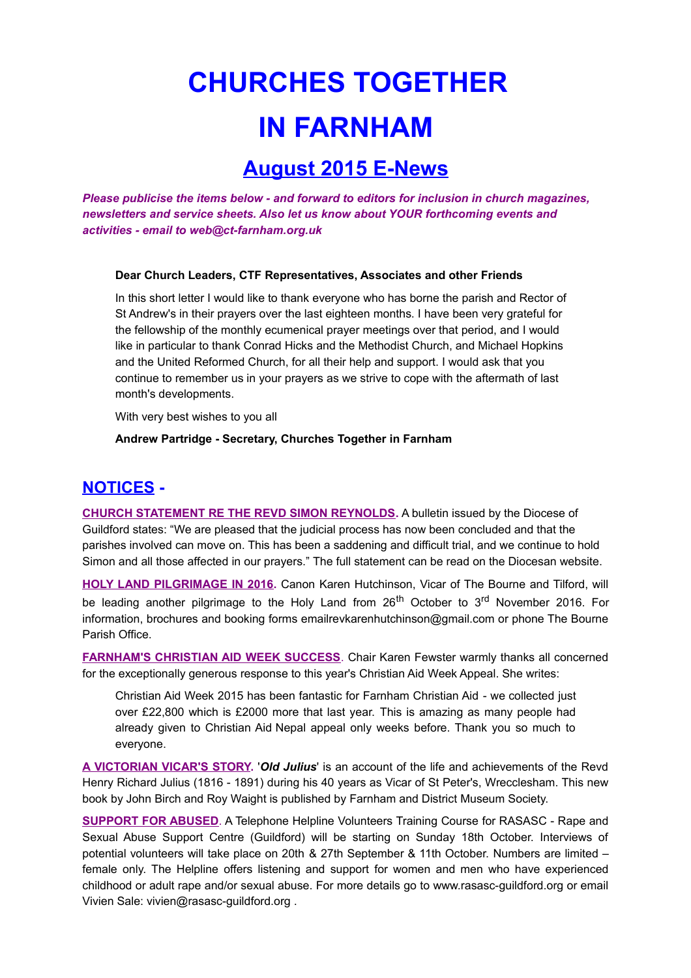# **CHURCHES TOGETHER IN FARNHAM**

## **August 2015 E-News**

*Please publicise the items below - and forward to editors for inclusion in church magazines, newsletters and service sheets. Also let us know about YOUR forthcoming events and activities - email to web@ct-farnham.org.uk*

#### **Dear Church Leaders, CTF Representatives, Associates and other Friends**

In this short letter I would like to thank everyone who has borne the parish and Rector of St Andrew's in their prayers over the last eighteen months. I have been very grateful for the fellowship of the monthly ecumenical prayer meetings over that period, and I would like in particular to thank Conrad Hicks and the Methodist Church, and Michael Hopkins and the United Reformed Church, for all their help and support. I would ask that you continue to remember us in your prayers as we strive to cope with the aftermath of last month's developments.

With very best wishes to you all

#### **Andrew Partridge - Secretary, Churches Together in Farnham**

### **NOTICES -**

**CHURCH STATEMENT RE THE REVD SIMON REYNOLDS.** A bulletin issued by the Diocese of Guildford states: "We are pleased that the judicial process has now been concluded and that the parishes involved can move on. This has been a saddening and difficult trial, and we continue to hold Simon and all those affected in our prayers." The full statement can be read on the Diocesan website.

**HOLY LAND PILGRIMAGE IN 2016.** Canon Karen Hutchinson, Vicar of The Bourne and Tilford, will be leading another pilgrimage to the Holy Land from  $26<sup>th</sup>$  October to  $3<sup>rd</sup>$  November 2016. For information, brochures and booking forms emailrevkarenhutchinson@gmail.com or phone The Bourne Parish Office.

**FARNHAM'S CHRISTIAN AID WEEK SUCCESS**. Chair Karen Fewster warmly thanks all concerned for the exceptionally generous response to this year's Christian Aid Week Appeal. She writes:

Christian Aid Week 2015 has been fantastic for Farnham Christian Aid - we collected just over £22,800 which is £2000 more that last year. This is amazing as many people had already given to Christian Aid Nepal appeal only weeks before. Thank you so much to everyone.

**A VICTORIAN VICAR'S STORY.** '*Old Julius*' is an account of the life and achievements of the Revd Henry Richard Julius (1816 - 1891) during his 40 years as Vicar of St Peter's, Wrecclesham. This new book by John Birch and Roy Waight is published by Farnham and District Museum Society.

**SUPPORT FOR ABUSED**. A Telephone Helpline Volunteers Training Course for RASASC - Rape and Sexual Abuse Support Centre (Guildford) will be starting on Sunday 18th October. Interviews of potential volunteers will take place on 20th & 27th September & 11th October. Numbers are limited – female only. The Helpline offers listening and support for women and men who have experienced childhood or adult rape and/or sexual abuse. For more details go to www.rasasc-guildford.org or email Vivien Sale: vivien@rasasc-guildford.org .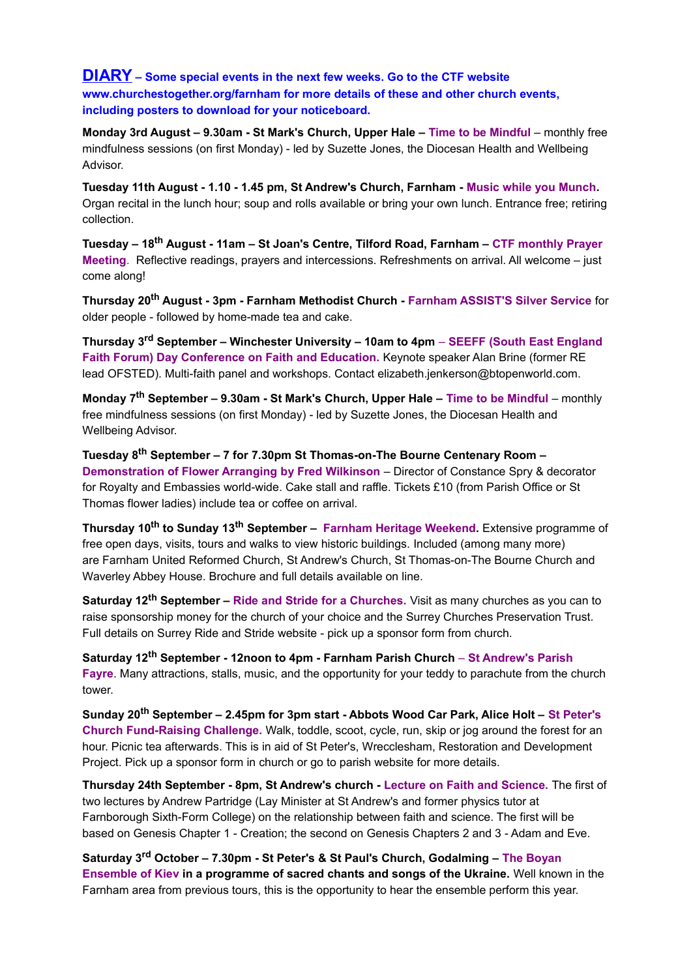**DIARY – Some special events in the next few weeks. Go to the CTF website www.churchestogether.org/farnham for more details of these and other church events, including posters to download for your noticeboard.**

**Monday 3rd August – 9.30am - St Mark's Church, Upper Hale – Time to be Mindful** *–* monthly free mindfulness sessions (on first Monday) - led by Suzette Jones, the Diocesan Health and Wellbeing Advisor.

**Tuesday 11th August - 1.10 - 1.45 pm, St Andrew's Church, Farnham - Music while you Munch.**  Organ recital in the lunch hour; soup and rolls available or bring your own lunch. Entrance free; retiring collection.

**Tuesday – 18th August - 11am – St Joan's Centre, Tilford Road, Farnham – CTF monthly Prayer Meeting**. Reflective readings, prayers and intercessions. Refreshments on arrival. All welcome – just come along!

**Thursday 20th August - 3pm - Farnham Methodist Church - Farnham ASSIST'S Silver Service** for older people - followed by home-made tea and cake.

**Thursday 3rd September – Winchester University – 10am to 4pm** *–* **SEEFF (South East England Faith Forum) Day Conference on Faith and Education.** Keynote speaker Alan Brine (former RE lead OFSTED). Multi-faith panel and workshops. Contact elizabeth.jenkerson@btopenworld.com.

**Monday 7th September – 9.30am - St Mark's Church, Upper Hale – Time to be Mindful** *–* monthly free mindfulness sessions (on first Monday) - led by Suzette Jones, the Diocesan Health and Wellbeing Advisor.

**Tuesday 8th September – 7 for 7.30pm St Thomas-on-The Bourne Centenary Room – Demonstration of Flower Arranging by Fred Wilkinson** – Director of Constance Spry & decorator for Royalty and Embassies world-wide. Cake stall and raffle. Tickets £10 (from Parish Office or St Thomas flower ladies) include tea or coffee on arrival.

**Thursday 10th to Sunday 13th September – Farnham Heritage Weekend.** Extensive programme of free open days, visits, tours and walks to view historic buildings. Included (among many more) are Farnham United Reformed Church, St Andrew's Church, St Thomas-on-The Bourne Church and Waverley Abbey House. Brochure and full details available on line.

**Saturday 12th September – Ride and Stride for a Churches.** Visit as many churches as you can to raise sponsorship money for the church of your choice and the Surrey Churches Preservation Trust. Full details on Surrey Ride and Stride website - pick up a sponsor form from church.

**Saturday 12th September - 12noon to 4pm - Farnham Parish Church** – **St Andrew's Parish Fayre**. Many attractions, stalls, music, and the opportunity for your teddy to parachute from the church tower.

**Sunday 20th September – 2.45pm for 3pm start - Abbots Wood Car Park, Alice Holt – St Peter's Church Fund-Raising Challenge.** Walk, toddle, scoot, cycle, run, skip or jog around the forest for an hour. Picnic tea afterwards. This is in aid of St Peter's, Wrecclesham, Restoration and Development Project. Pick up a sponsor form in church or go to parish website for more details.

**Thursday 24th September - 8pm, St Andrew's church - Lecture on Faith and Science.** The first of two lectures by Andrew Partridge (Lay Minister at St Andrew's and former physics tutor at Farnborough Sixth-Form College) on the relationship between faith and science. The first will be based on Genesis Chapter 1 - Creation; the second on Genesis Chapters 2 and 3 - Adam and Eve.

**Saturday 3rd October – 7.30pm - St Peter's & St Paul's Church, Godalming – The Boyan Ensemble of Kiev in a programme of sacred chants and songs of the Ukraine.** Well known in the Farnham area from previous tours, this is the opportunity to hear the ensemble perform this year.